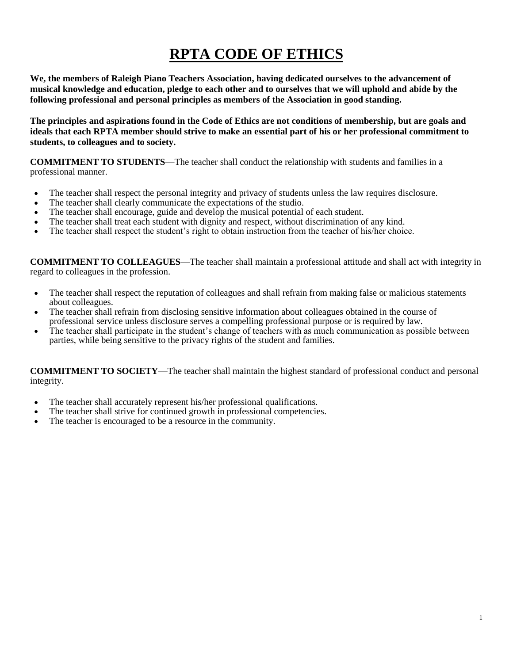# **RPTA CODE OF ETHICS**

**We, the members of Raleigh Piano Teachers Association, having dedicated ourselves to the advancement of musical knowledge and education, pledge to each other and to ourselves that we will uphold and abide by the following professional and personal principles as members of the Association in good standing.**

**The principles and aspirations found in the Code of Ethics are not conditions of membership, but are goals and ideals that each RPTA member should strive to make an essential part of his or her professional commitment to students, to colleagues and to society.**

**COMMITMENT TO STUDENTS**—The teacher shall conduct the relationship with students and families in a professional manner.

- The teacher shall respect the personal integrity and privacy of students unless the law requires disclosure.
- The teacher shall clearly communicate the expectations of the studio.
- The teacher shall encourage, guide and develop the musical potential of each student.
- The teacher shall treat each student with dignity and respect, without discrimination of any kind.
- The teacher shall respect the student's right to obtain instruction from the teacher of his/her choice.

**COMMITMENT TO COLLEAGUES**—The teacher shall maintain a professional attitude and shall act with integrity in regard to colleagues in the profession.

- The teacher shall respect the reputation of colleagues and shall refrain from making false or malicious statements about colleagues.
- The teacher shall refrain from disclosing sensitive information about colleagues obtained in the course of professional service unless disclosure serves a compelling professional purpose or is required by law.
- The teacher shall participate in the student's change of teachers with as much communication as possible between parties, while being sensitive to the privacy rights of the student and families.

**COMMITMENT TO SOCIETY**—The teacher shall maintain the highest standard of professional conduct and personal integrity.

- The teacher shall accurately represent his/her professional qualifications.
- The teacher shall strive for continued growth in professional competencies.
- The teacher is encouraged to be a resource in the community.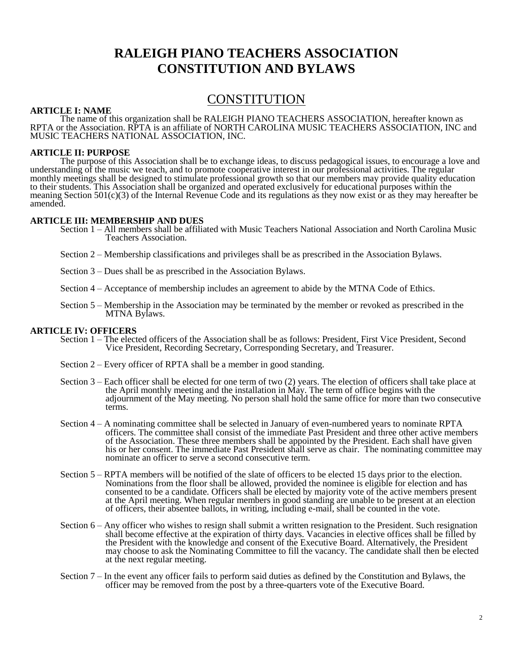## **RALEIGH PIANO TEACHERS ASSOCIATION CONSTITUTION AND BYLAWS**

### CONSTITUTION

#### **ARTICLE I: NAME**

The name of this organization shall be RALEIGH PIANO TEACHERS ASSOCIATION, hereafter known as RPTA or the Association. RPTA is an affiliate of NORTH CAROLINA MUSIC TEACHERS ASSOCIATION, INC and MUSIC TEACHERS NATIONAL ASSOCIATION, INC.

#### **ARTICLE II: PURPOSE**

The purpose of this Association shall be to exchange ideas, to discuss pedagogical issues, to encourage a love and understanding of the music we teach, and to promote cooperative interest in our professional activities. The regular monthly meetings shall be designed to stimulate professional growth so that our members may provide quality education to their students. This Association shall be organized and operated exclusively for educational purposes within the meaning Section  $501(c)(3)$  of the Internal Revenue Code and its regulations as they now exist or as they may hereafter be amended.

#### **ARTICLE III: MEMBERSHIP AND DUES**

- Section 1 All members shall be affiliated with Music Teachers National Association and North Carolina Music Teachers Association.
- Section 2 Membership classifications and privileges shall be as prescribed in the Association Bylaws.
- Section 3 Dues shall be as prescribed in the Association Bylaws.
- Section 4 Acceptance of membership includes an agreement to abide by the MTNA Code of Ethics.
- Section 5 Membership in the Association may be terminated by the member or revoked as prescribed in the MTNA Bylaws.

#### **ARTICLE IV: OFFICERS**

- Section 1 The elected officers of the Association shall be as follows: President, First Vice President, Second Vice President, Recording Secretary, Corresponding Secretary, and Treasurer.
- Section 2 Every officer of RPTA shall be a member in good standing.
- Section 3 Each officer shall be elected for one term of two (2) years. The election of officers shall take place at the April monthly meeting and the installation in May. The term of office begins with the adjournment of the May meeting. No person shall hold the same office for more than two consecutive terms.
- Section 4 A nominating committee shall be selected in January of even-numbered years to nominate RPTA officers. The committee shall consist of the immediate Past President and three other active members of the Association. These three members shall be appointed by the President. Each shall have given his or her consent. The immediate Past President shall serve as chair. The nominating committee may nominate an officer to serve a second consecutive term.
- Section 5 RPTA members will be notified of the slate of officers to be elected 15 days prior to the election. Nominations from the floor shall be allowed, provided the nominee is eligible for election and has consented to be a candidate. Officers shall be elected by majority vote of the active members present at the April meeting. When regular members in good standing are unable to be present at an election of officers, their absentee ballots, in writing, including e-mail, shall be counted in the vote.
- Section 6 Any officer who wishes to resign shall submit a written resignation to the President. Such resignation shall become effective at the expiration of thirty days. Vacancies in elective offices shall be filled by the President with the knowledge and consent of the Executive Board. Alternatively, the President may choose to ask the Nominating Committee to fill the vacancy. The candidate shall then be elected at the next regular meeting.
- Section 7 In the event any officer fails to perform said duties as defined by the Constitution and Bylaws, the officer may be removed from the post by a three-quarters vote of the Executive Board.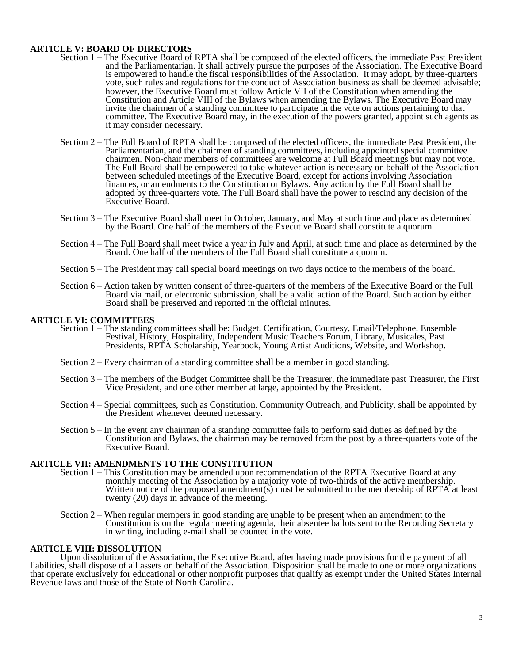#### **ARTICLE V: BOARD OF DIRECTORS**

- Section 1 The Executive Board of RPTA shall be composed of the elected officers, the immediate Past President and the Parliamentarian. It shall actively pursue the purposes of the Association. The Executive Board is empowered to handle the fiscal responsibilities of the Association. It may adopt, by three-quarters vote, such rules and regulations for the conduct of Association business as shall be deemed advisable; however, the Executive Board must follow Article VII of the Constitution when amending the Constitution and Article VIII of the Bylaws when amending the Bylaws. The Executive Board may invite the chairmen of a standing committee to participate in the vote on actions pertaining to that committee. The Executive Board may, in the execution of the powers granted, appoint such agents as it may consider necessary.
- Section 2 The Full Board of RPTA shall be composed of the elected officers, the immediate Past President, the Parliamentarian, and the chairmen of standing committees, including appointed special committee chairmen. Non-chair members of committees are welcome at Full Board meetings but may not vote. The Full Board shall be empowered to take whatever action is necessary on behalf of the Association between scheduled meetings of the Executive Board, except for actions involving Association finances, or amendments to the Constitution or Bylaws. Any action by the Full Board shall be adopted by three-quarters vote. The Full Board shall have the power to rescind any decision of the Executive Board.
- Section 3 The Executive Board shall meet in October, January, and May at such time and place as determined by the Board. One half of the members of the Executive Board shall constitute a quorum.
- Section 4 The Full Board shall meet twice a year in July and April, at such time and place as determined by the Board. One half of the members of the Full Board shall constitute a quorum.
- Section 5 The President may call special board meetings on two days notice to the members of the board.
- Section 6 Action taken by written consent of three-quarters of the members of the Executive Board or the Full Board via mail, or electronic submission, shall be a valid action of the Board. Such action by either Board shall be preserved and reported in the official minutes.

#### **ARTICLE VI: COMMITTEES**

- Section 1 The standing committees shall be: Budget, Certification, Courtesy, Email/Telephone, Ensemble Festival, History, Hospitality, Independent Music Teachers Forum, Library, Musicales, Past Presidents, RPTA Scholarship, Yearbook, Young Artist Auditions, Website, and Workshop.
- Section 2 Every chairman of a standing committee shall be a member in good standing.
- Section 3 The members of the Budget Committee shall be the Treasurer, the immediate past Treasurer, the First Vice President, and one other member at large, appointed by the President.
- Section 4 Special committees, such as Constitution, Community Outreach, and Publicity, shall be appointed by the President whenever deemed necessary.
- Section 5 In the event any chairman of a standing committee fails to perform said duties as defined by the Constitution and Bylaws, the chairman may be removed from the post by a three-quarters vote of the Executive Board.

#### **ARTICLE VII: AMENDMENTS TO THE CONSTITUTION**

- Section 1 This Constitution may be amended upon recommendation of the RPTA Executive Board at any monthly meeting of the Association by a majority vote of two-thirds of the active membership. Written notice of the proposed amendment(s) must be submitted to the membership of RPTA at least twenty (20) days in advance of the meeting.
- Section 2 When regular members in good standing are unable to be present when an amendment to the Constitution is on the regular meeting agenda, their absentee ballots sent to the Recording Secretary in writing, including e-mail shall be counted in the vote.

#### **ARTICLE VIII: DISSOLUTION**

Upon dissolution of the Association, the Executive Board, after having made provisions for the payment of all liabilities, shall dispose of all assets on behalf of the Association. Disposition shall be made to one or more organizations that operate exclusively for educational or other nonprofit purposes that qualify as exempt under the United States Internal Revenue laws and those of the State of North Carolina.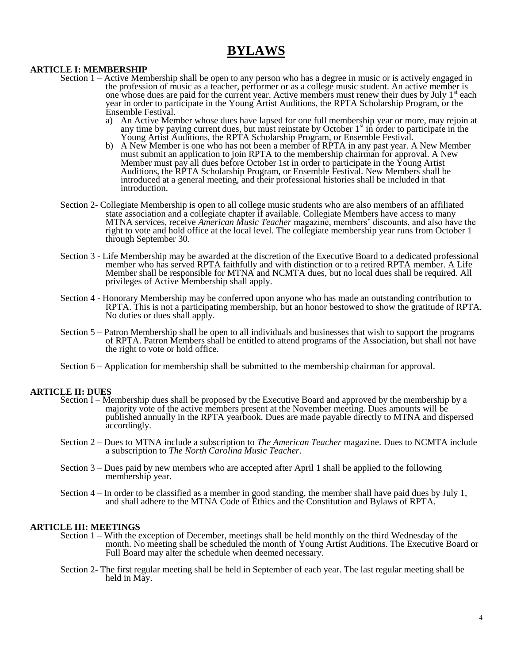## **BYLAWS**

#### **ARTICLE I: MEMBERSHIP**

- Section 1 Active Membership shall be open to any person who has a degree in music or is actively engaged in the profession of music as a teacher, performer or as a college music student. An active member is one whose dues are paid for the current year. Active members must renew their dues by July  $1<sup>st</sup>$  each year in order to participate in the Young Artist Auditions, the RPTA Scholarship Program, or the Ensemble Festival.
	- a) An Active Member whose dues have lapsed for one full membership year or more, may rejoin at any time by paying current dues, but must reinstate by October  $1<sup>st</sup>$  in order to participate in the Young Artist Auditions, the RPTA Scholarship Program, or Ensemble Festival.
	- b) A New Member is one who has not been a member of RPTA in any past year. A New Member must submit an application to join RPTA to the membership chairman for approval. A New Member must pay all dues before October 1st in order to participate in the Young Artist Auditions, the RPTA Scholarship Program, or Ensemble Festival. New Members shall be introduced at a general meeting, and their professional histories shall be included in that introduction.
- Section 2- Collegiate Membership is open to all college music students who are also members of an affiliated state association and a collegiate chapter if available. Collegiate Members have access to many MTNA services, receive *American Music Teacher* magazine, members' discounts, and also have the right to vote and hold office at the local level. The collegiate membership year runs from October 1 through September 30.
- Section 3 Life Membership may be awarded at the discretion of the Executive Board to a dedicated professional member who has served RPTA faithfully and with distinction or to a retired RPTA member. A Life Member shall be responsible for MTNA and NCMTA dues, but no local dues shall be required. All privileges of Active Membership shall apply.
- Section 4 Honorary Membership may be conferred upon anyone who has made an outstanding contribution to RPTA. This is not a participating membership, but an honor bestowed to show the gratitude of RPTA. No duties or dues shall apply.
- Section 5 Patron Membership shall be open to all individuals and businesses that wish to support the programs of RPTA. Patron Members shall be entitled to attend programs of the Association, but shall not have the right to vote or hold office.
- Section 6 Application for membership shall be submitted to the membership chairman for approval.

#### **ARTICLE II: DUES**

- Section I Membership dues shall be proposed by the Executive Board and approved by the membership by a majority vote of the active members present at the November meeting. Dues amounts will be published annually in the RPTA yearbook. Dues are made payable directly to MTNA and dispersed accordingly.
- Section 2 Dues to MTNA include a subscription to *The American Teacher* magazine. Dues to NCMTA include a subscription to *The North Carolina Music Teacher*.
- Section 3 Dues paid by new members who are accepted after April 1 shall be applied to the following membership year.
- Section 4 In order to be classified as a member in good standing, the member shall have paid dues by July 1, and shall adhere to the MTNA Code of Ethics and the Constitution and Bylaws of RPTA.

#### **ARTICLE III: MEETINGS**

- Section 1 With the exception of December, meetings shall be held monthly on the third Wednesday of the month. No meeting shall be scheduled the month of Young Artist Auditions. The Executive Board or Full Board may alter the schedule when deemed necessary.
- Section 2- The first regular meeting shall be held in September of each year. The last regular meeting shall be held in May.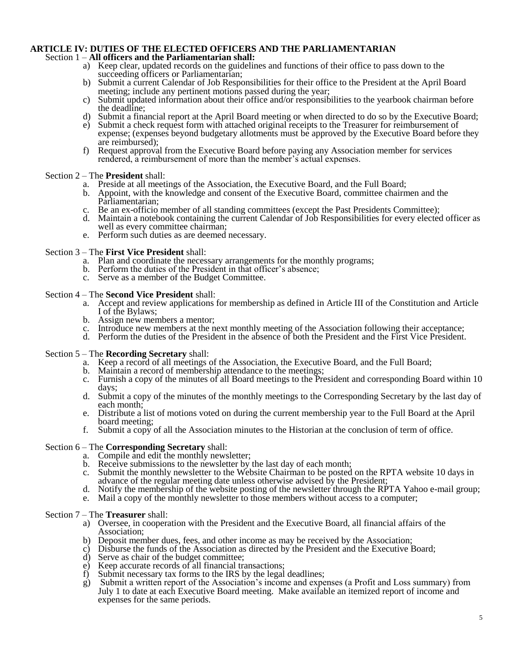### **ARTICLE IV: DUTIES OF THE ELECTED OFFICERS AND THE PARLIAMENTARIAN**

#### Section 1 – **All officers and the Parliamentarian shall:**

- a) Keep clear, updated records on the guidelines and functions of their office to pass down to the succeeding officers or Parliamentarian;
- b) Submit a current Calendar of Job Responsibilities for their office to the President at the April Board meeting; include any pertinent motions passed during the year;
- c) Submit updated information about their office and/or responsibilities to the yearbook chairman before the deadline;
- d) Submit a financial report at the April Board meeting or when directed to do so by the Executive Board;
- e) Submit a check request form with attached original receipts to the Treasurer for reimbursement of expense; (expenses beyond budgetary allotments must be approved by the Executive Board before they are reimbursed);
- f) Request approval from the Executive Board before paying any Association member for services rendered, a reimbursement of more than the member's actual expenses.

#### Section 2 – The **President** shall:

- a. Preside at all meetings of the Association, the Executive Board, and the Full Board;
- b. Appoint, with the knowledge and consent of the Executive Board, committee chairmen and the Parliamentarian;
- c. Be an ex-officio member of all standing committees (except the Past Presidents Committee);
- d. Maintain a notebook containing the current Calendar of Job Responsibilities for every elected officer as well as every committee chairman;
- e. Perform such duties as are deemed necessary.

#### Section 3 – The **First Vice President** shall:

- a. Plan and coordinate the necessary arrangements for the monthly programs;
- b. Perform the duties of the President in that officer's absence;
- c. Serve as a member of the Budget Committee.

#### Section 4 – The **Second Vice President** shall:

- a. Accept and review applications for membership as defined in Article III of the Constitution and Article I of the Bylaws;
- b. Assign new members a mentor;
- c. Introduce new members at the next monthly meeting of the Association following their acceptance;
- d. Perform the duties of the President in the absence of both the President and the First Vice President.

#### Section 5 – The **Recording Secretary** shall:

- a. Keep a record of all meetings of the Association, the Executive Board, and the Full Board;
- b. Maintain a record of membership attendance to the meetings;
- c. Furnish a copy of the minutes of all Board meetings to the President and corresponding Board within 10 days;
- d. Submit a copy of the minutes of the monthly meetings to the Corresponding Secretary by the last day of each month;
- e. Distribute a list of motions voted on during the current membership year to the Full Board at the April board meeting;
- f. Submit a copy of all the Association minutes to the Historian at the conclusion of term of office.

#### Section 6 – The **Corresponding Secretary** shall:

- a. Compile and edit the monthly newsletter;
- b. Receive submissions to the newsletter by the last day of each month;
- c. Submit the monthly newsletter to the Website Chairman to be posted on the RPTA website 10 days in advance of the regular meeting date unless otherwise advised by the President;
- d. Notify the membership of the website posting of the newsletter through the RPTA Yahoo e-mail group;
- e. Mail a copy of the monthly newsletter to those members without access to a computer;

#### Section 7 – The **Treasurer** shall:

- a) Oversee, in cooperation with the President and the Executive Board, all financial affairs of the Association;
- b) Deposit member dues, fees, and other income as may be received by the Association;
- c) Disburse the funds of the Association as directed by the President and the Executive Board;
- d) Serve as chair of the budget committee;
- e) Keep accurate records of all financial transactions;
- f) Submit necessary tax forms to the IRS by the legal deadlines;
- g) Submit a written report of the Association's income and expenses (a Profit and Loss summary) from July 1 to date at each Executive Board meeting. Make available an itemized report of income and expenses for the same periods.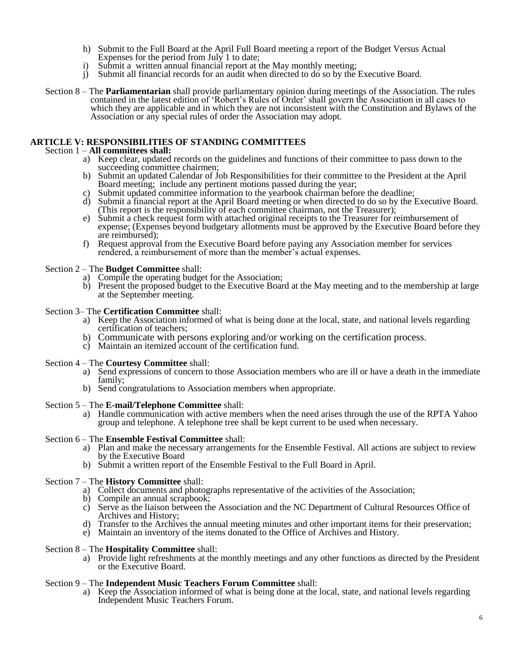- h) Submit to the Full Board at the April Full Board meeting a report of the Budget Versus Actual Expenses for the period from July 1 to date;
- i) Submit a written annual financial report at the May monthly meeting;
- j) Submit all financial records for an audit when directed to do so by the Executive Board.
- Section 8 The **Parliamentarian** shall provide parliamentary opinion during meetings of the Association. The rules contained in the latest edition of 'Robert's Rules of Order' shall govern the Association in all cases to which they are applicable and in which they are not inconsistent with the Constitution and Bylaws of the Association or any special rules of order the Association may adopt.

#### **ARTICLE V: RESPONSIBILITIES OF STANDING COMMITTEES**

#### Section 1 – **All committees shall:**

- a) Keep clear, updated records on the guidelines and functions of their committee to pass down to the succeeding committee chairmen;
- b) Submit an updated Calendar of Job Responsibilities for their committee to the President at the April Board meeting; include any pertinent motions passed during the year;
- c) Submit updated committee information to the yearbook chairman before the deadline;
- d) Submit a financial report at the April Board meeting or when directed to do so by the Executive Board. (This report is the responsibility of each committee chairman, not the Treasurer);
- e) Submit a check request form with attached original receipts to the Treasurer for reimbursement of expense; (Expenses beyond budgetary allotments must be approved by the Executive Board before they are reimbursed);
- f) Request approval from the Executive Board before paying any Association member for services rendered, a reimbursement of more than the member's actual expenses.

#### Section 2 – The **Budget Committee** shall:

- a) Compile the operating budget for the Association;
- b) Present the proposed budget to the Executive Board at the May meeting and to the membership at large at the September meeting.

#### Section 3– The **Certification Committee** shall:

- a) Keep the Association informed of what is being done at the local, state, and national levels regarding certification of teachers;
- b) Communicate with persons exploring and/or working on the certification process.
- c) Maintain an itemized account of the certification fund.

#### Section 4 – The **Courtesy Committee** shall:

- a) Send expressions of concern to those Association members who are ill or have a death in the immediate family;
- b) Send congratulations to Association members when appropriate.

#### Section 5 – The **E-mail/Telephone Committee** shall:

a) Handle communication with active members when the need arises through the use of the RPTA Yahoo group and telephone. A telephone tree shall be kept current to be used when necessary.

#### Section 6 – The **Ensemble Festival Committee** shall:

- a) Plan and make the necessary arrangements for the Ensemble Festival. All actions are subject to review by the Executive Board
- b) Submit a written report of the Ensemble Festival to the Full Board in April.

#### Section 7 – The **History Committee** shall:

- a) Collect documents and photographs representative of the activities of the Association;
- Compile an annual scrapbook;
- c) Serve as the liaison between the Association and the NC Department of Cultural Resources Office of Archives and History;
- d) Transfer to the Archives the annual meeting minutes and other important items for their preservation;
- e) Maintain an inventory of the items donated to the Office of Archives and History.

#### Section 8 – The **Hospitality Committee** shall:

a) Provide light refreshments at the monthly meetings and any other functions as directed by the President or the Executive Board.

#### Section 9 – The **Independent Music Teachers Forum Committee** shall:

a) Keep the Association informed of what is being done at the local, state, and national levels regarding Independent Music Teachers Forum.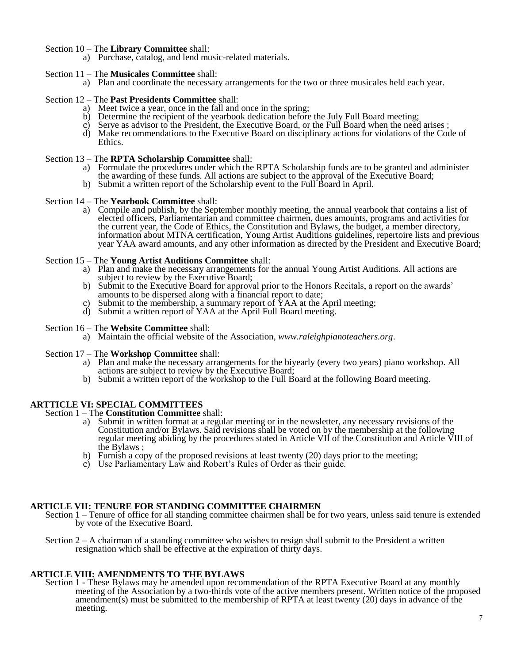#### Section 10 – The **Library Committee** shall:

a) Purchase, catalog, and lend music-related materials.

#### Section 11 – The **Musicales Committee** shall:

a) Plan and coordinate the necessary arrangements for the two or three musicales held each year.

#### Section 12 – The **Past Presidents Committee** shall:

- a) Meet twice a year, once in the fall and once in the spring;
- b) Determine the recipient of the yearbook dedication before the July Full Board meeting;
- c) Serve as advisor to the President, the Executive Board, or the Full Board when the need arises ;
- d) Make recommendations to the Executive Board on disciplinary actions for violations of the Code of Ethics.

#### Section 13 – The **RPTA Scholarship Committee** shall:

- a) Formulate the procedures under which the RPTA Scholarship funds are to be granted and administer the awarding of these funds. All actions are subject to the approval of the Executive Board;
- b) Submit a written report of the Scholarship event to the Full Board in April.

#### Section 14 – The **Yearbook Committee** shall:

a) Compile and publish, by the September monthly meeting, the annual yearbook that contains a list of elected officers, Parliamentarian and committee chairmen, dues amounts, programs and activities for the current year, the Code of Ethics, the Constitution and Bylaws, the budget, a member directory, information about MTNA certification, Young Artist Auditions guidelines, repertoire lists and previous year YAA award amounts, and any other information as directed by the President and Executive Board;

#### Section 15 – The **Young Artist Auditions Committee** shall:

- a) Plan and make the necessary arrangements for the annual Young Artist Auditions. All actions are subject to review by the Executive Board;
- b) Submit to the Executive Board for approval prior to the Honors Recitals, a report on the awards' amounts to be dispersed along with a financial report to date;
- c) Submit to the membership, a summary report of YAA at the April meeting;
- d) Submit a written report of YAA at the April Full Board meeting.

#### Section 16 – The **Website Committee** shall:

a) Maintain the official website of the Association, *www.raleighpianoteachers.org*.

#### Section 17 – The **Workshop Committee** shall:

- a) Plan and make the necessary arrangements for the biyearly (every two years) piano workshop. All actions are subject to review by the Executive Board;
- b) Submit a written report of the workshop to the Full Board at the following Board meeting.

#### **ARTTICLE VI: SPECIAL COMMITTEES**

#### Section 1 – The **Constitution Committee** shall:

- a) Submit in written format at a regular meeting or in the newsletter, any necessary revisions of the Constitution and/or Bylaws. Said revisions shall be voted on by the membership at the following regular meeting abiding by the procedures stated in Article VII of the Constitution and Article VIII of the Bylaws ;
- b) Furnish a copy of the proposed revisions at least twenty (20) days prior to the meeting;
- c) Use Parliamentary Law and Robert's Rules of Order as their guide.

#### **ARTICLE VII: TENURE FOR STANDING COMMITTEE CHAIRMEN**

- Section 1 Tenure of office for all standing committee chairmen shall be for two years, unless said tenure is extended by vote of the Executive Board.
- Section  $2 A$  chairman of a standing committee who wishes to resign shall submit to the President a written resignation which shall be effective at the expiration of thirty days.

#### **ARTICLE VIII: AMENDMENTS TO THE BYLAWS**

Section 1 - These Bylaws may be amended upon recommendation of the RPTA Executive Board at any monthly meeting of the Association by a two-thirds vote of the active members present. Written notice of the proposed amendment(s) must be submitted to the membership of RPTA at least twenty (20) days in advance of the meeting.